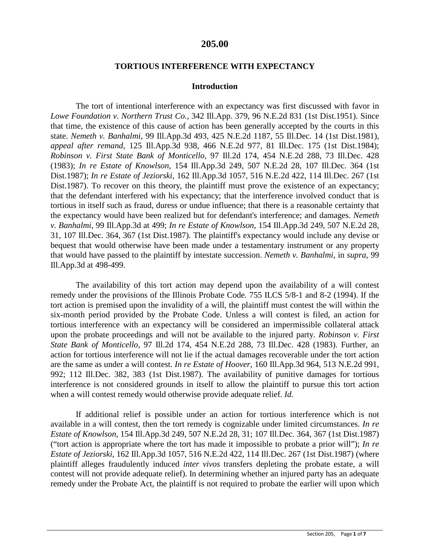### **205.00**

#### **TORTIOUS INTERFERENCE WITH EXPECTANCY**

#### **Introduction**

The tort of intentional interference with an expectancy was first discussed with favor in *Lowe Foundation v. Northern Trust Co.*, 342 Ill.App. 379, 96 N.E.2d 831 (1st Dist.1951). Since that time, the existence of this cause of action has been generally accepted by the courts in this state. *Nemeth v. Banhalmi*, 99 Ill.App.3d 493, 425 N.E.2d 1187, 55 Ill.Dec. 14 (1st Dist.1981), *appeal after remand*, 125 Ill.App.3d 938, 466 N.E.2d 977, 81 Ill.Dec. 175 (1st Dist.1984); *Robinson v. First State Bank of Monticello*, 97 Ill.2d 174, 454 N.E.2d 288, 73 Ill.Dec. 428 (1983); *In re Estate of Knowlson*, 154 Ill.App.3d 249, 507 N.E.2d 28, 107 Ill.Dec. 364 (1st Dist.1987); *In re Estate of Jeziorski*, 162 Ill.App.3d 1057, 516 N.E.2d 422, 114 Ill.Dec. 267 (1st Dist.1987). To recover on this theory, the plaintiff must prove the existence of an expectancy; that the defendant interfered with his expectancy; that the interference involved conduct that is tortious in itself such as fraud, duress or undue influence; that there is a reasonable certainty that the expectancy would have been realized but for defendant's interference; and damages. *Nemeth v. Banhalmi*, 99 Ill.App.3d at 499; *In re Estate of Knowlson*, 154 Ill.App.3d 249, 507 N.E.2d 28, 31, 107 Ill.Dec. 364, 367 (1st Dist.1987). The plaintiff's expectancy would include any devise or bequest that would otherwise have been made under a testamentary instrument or any property that would have passed to the plaintiff by intestate succession. *Nemeth v. Banhalmi*, in *supra*, 99 Ill.App.3d at 498-499.

The availability of this tort action may depend upon the availability of a will contest remedy under the provisions of the Illinois Probate Code. 755 ILCS 5/8-1 and 8-2 (1994). If the tort action is premised upon the invalidity of a will, the plaintiff must contest the will within the six-month period provided by the Probate Code. Unless a will contest is filed, an action for tortious interference with an expectancy will be considered an impermissible collateral attack upon the probate proceedings and will not be available to the injured party. *Robinson v. First State Bank of Monticello*, 97 Ill.2d 174, 454 N.E.2d 288, 73 Ill.Dec. 428 (1983). Further, an action for tortious interference will not lie if the actual damages recoverable under the tort action are the same as under a will contest. *In re Estate of Hoover*, 160 Ill.App.3d 964, 513 N.E.2d 991, 992; 112 Ill.Dec. 382, 383 (1st Dist.1987). The availability of punitive damages for tortious interference is not considered grounds in itself to allow the plaintiff to pursue this tort action when a will contest remedy would otherwise provide adequate relief. *Id.*

If additional relief is possible under an action for tortious interference which is not available in a will contest, then the tort remedy is cognizable under limited circumstances. *In re Estate of Knowlson*, 154 Ill.App.3d 249, 507 N.E.2d 28, 31; 107 Ill.Dec. 364, 367 (1st Dist.1987) ("tort action is appropriate where the tort has made it impossible to probate a prior will"); *In re Estate of Jeziorski*, 162 Ill.App.3d 1057, 516 N.E.2d 422, 114 Ill.Dec. 267 (1st Dist.1987) (where plaintiff alleges fraudulently induced *inter vivos* transfers depleting the probate estate, a will contest will not provide adequate relief). In determining whether an injured party has an adequate remedy under the Probate Act, the plaintiff is not required to probate the earlier will upon which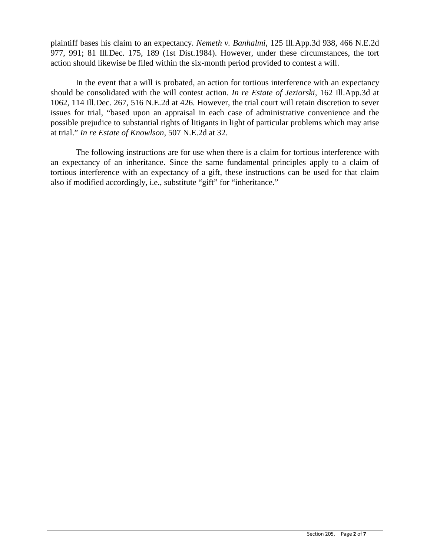plaintiff bases his claim to an expectancy. *Nemeth v. Banhalmi*, 125 Ill.App.3d 938, 466 N.E.2d 977, 991; 81 Ill.Dec. 175, 189 (1st Dist.1984). However, under these circumstances, the tort action should likewise be filed within the six-month period provided to contest a will.

In the event that a will is probated, an action for tortious interference with an expectancy should be consolidated with the will contest action. *In re Estate of Jeziorski*, 162 Ill.App.3d at 1062, 114 Ill.Dec. 267, 516 N.E.2d at 426. However, the trial court will retain discretion to sever issues for trial, "based upon an appraisal in each case of administrative convenience and the possible prejudice to substantial rights of litigants in light of particular problems which may arise at trial." *In re Estate of Knowlson*, 507 N.E.2d at 32.

The following instructions are for use when there is a claim for tortious interference with an expectancy of an inheritance. Since the same fundamental principles apply to a claim of tortious interference with an expectancy of a gift, these instructions can be used for that claim also if modified accordingly, i.e., substitute "gift" for "inheritance."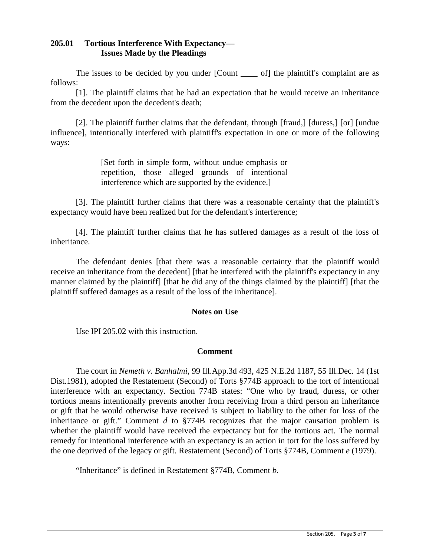### **205.01 Tortious Interference With Expectancy— Issues Made by the Pleadings**

The issues to be decided by you under [Count <u>section</u>] of the plaintiff's complaint are as follows:

[1]. The plaintiff claims that he had an expectation that he would receive an inheritance from the decedent upon the decedent's death;

[2]. The plaintiff further claims that the defendant, through [fraud,] [duress,] [or] [undue influence], intentionally interfered with plaintiff's expectation in one or more of the following ways:

> [Set forth in simple form, without undue emphasis or repetition, those alleged grounds of intentional interference which are supported by the evidence.]

[3]. The plaintiff further claims that there was a reasonable certainty that the plaintiff's expectancy would have been realized but for the defendant's interference;

[4]. The plaintiff further claims that he has suffered damages as a result of the loss of inheritance.

The defendant denies [that there was a reasonable certainty that the plaintiff would receive an inheritance from the decedent] [that he interfered with the plaintiff's expectancy in any manner claimed by the plaintiff] [that he did any of the things claimed by the plaintiff] [that the plaintiff suffered damages as a result of the loss of the inheritance].

#### **Notes on Use**

Use IPI 205.02 with this instruction.

#### **Comment**

The court in *Nemeth v. Banhalmi*, 99 Ill.App.3d 493, 425 N.E.2d 1187, 55 Ill.Dec. 14 (1st Dist.1981), adopted the Restatement (Second) of Torts §774B approach to the tort of intentional interference with an expectancy. Section 774B states: "One who by fraud, duress, or other tortious means intentionally prevents another from receiving from a third person an inheritance or gift that he would otherwise have received is subject to liability to the other for loss of the inheritance or gift." Comment *d* to §774B recognizes that the major causation problem is whether the plaintiff would have received the expectancy but for the tortious act. The normal remedy for intentional interference with an expectancy is an action in tort for the loss suffered by the one deprived of the legacy or gift. Restatement (Second) of Torts §774B, Comment *e* (1979).

"Inheritance" is defined in Restatement §774B, Comment *b*.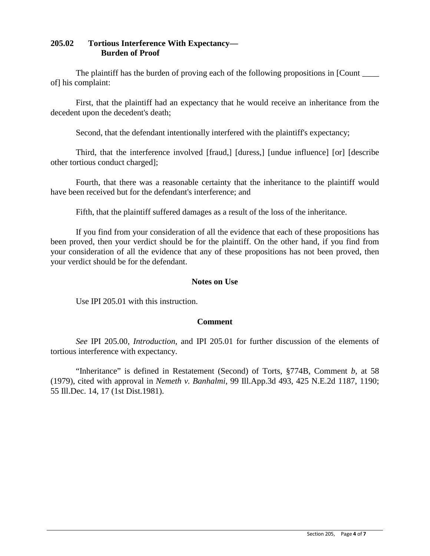## **205.02 Tortious Interference With Expectancy— Burden of Proof**

The plaintiff has the burden of proving each of the following propositions in [Count \_\_\_\_\_ of] his complaint:

First, that the plaintiff had an expectancy that he would receive an inheritance from the decedent upon the decedent's death;

Second, that the defendant intentionally interfered with the plaintiff's expectancy;

Third, that the interference involved [fraud,] [duress,] [undue influence] [or] [describe other tortious conduct charged];

Fourth, that there was a reasonable certainty that the inheritance to the plaintiff would have been received but for the defendant's interference; and

Fifth, that the plaintiff suffered damages as a result of the loss of the inheritance.

If you find from your consideration of all the evidence that each of these propositions has been proved, then your verdict should be for the plaintiff. On the other hand, if you find from your consideration of all the evidence that any of these propositions has not been proved, then your verdict should be for the defendant.

#### **Notes on Use**

Use IPI 205.01 with this instruction.

#### **Comment**

*See* IPI 205.00, *Introduction*, and IPI 205.01 for further discussion of the elements of tortious interference with expectancy.

"Inheritance" is defined in Restatement (Second) of Torts, §774B, Comment *b*, at 58 (1979), cited with approval in *Nemeth v. Banhalmi*, 99 Ill.App.3d 493, 425 N.E.2d 1187, 1190; 55 Ill.Dec. 14, 17 (1st Dist.1981).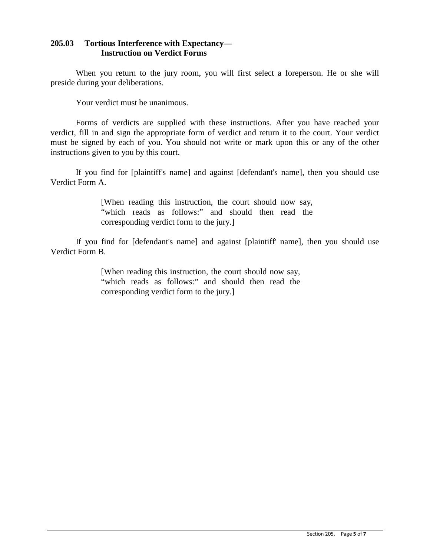### **205.03 Tortious Interference with Expectancy— Instruction on Verdict Forms**

When you return to the jury room, you will first select a foreperson. He or she will preside during your deliberations.

Your verdict must be unanimous.

Forms of verdicts are supplied with these instructions. After you have reached your verdict, fill in and sign the appropriate form of verdict and return it to the court. Your verdict must be signed by each of you. You should not write or mark upon this or any of the other instructions given to you by this court.

If you find for [plaintiff's name] and against [defendant's name], then you should use Verdict Form A.

> [When reading this instruction, the court should now say, "which reads as follows:" and should then read the corresponding verdict form to the jury.]

If you find for [defendant's name] and against [plaintiff' name], then you should use Verdict Form B.

> [When reading this instruction, the court should now say, "which reads as follows:" and should then read the corresponding verdict form to the jury.]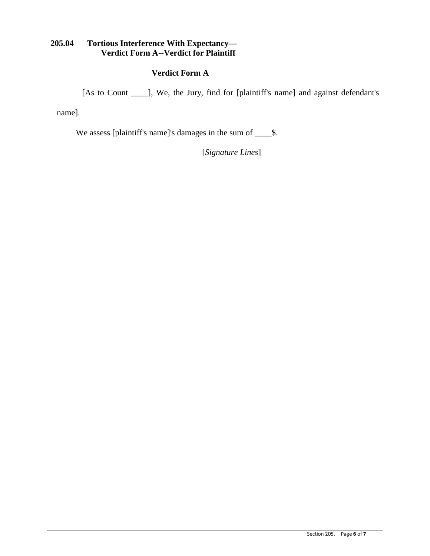## **205.04 Tortious Interference With Expectancy— Verdict Form A--Verdict for Plaintiff**

## **Verdict Form A**

[As to Count \_\_\_\_\_], We, the Jury, find for [plaintiff's name] and against defendant's

name].

We assess [plaintiff's name]'s damages in the sum of \_\_\_\_\$.

[*Signature Lines*]